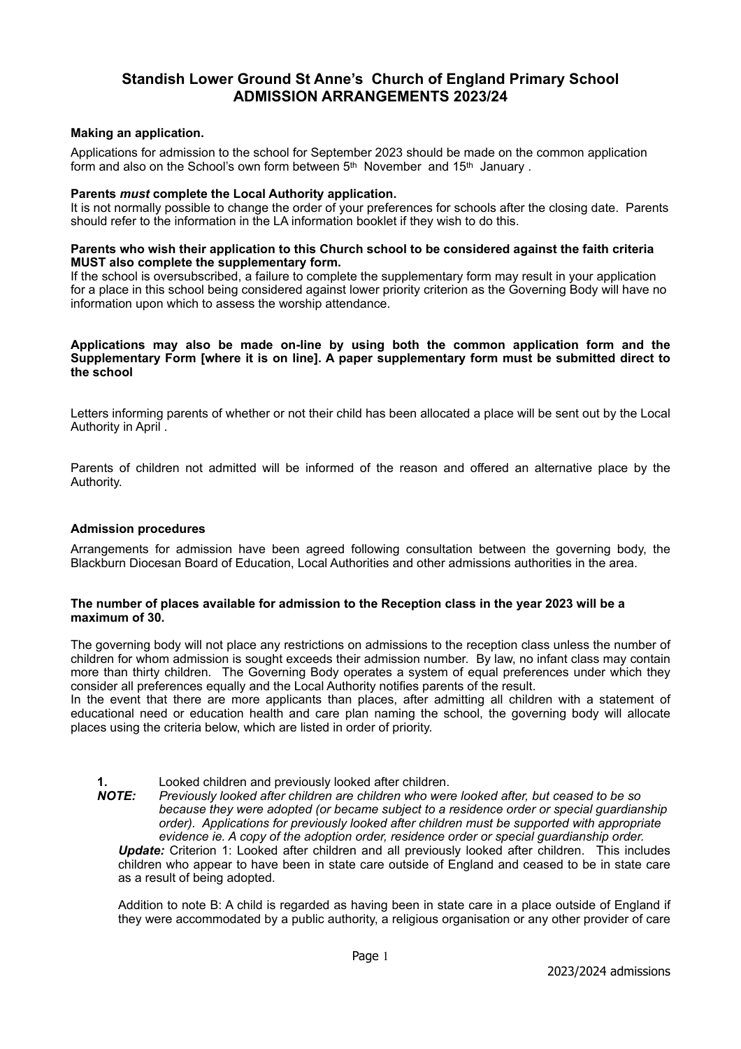# **Standish Lower Ground St Anne's Church of England Primary School ADMISSION ARRANGEMENTS 2023/24**

#### **Making an application.**

Applications for admission to the school for September 2023 should be made on the common application form and also on the School's own form between 5<sup>th</sup> November and 15<sup>th</sup> January.

#### **Parents** *must* **complete the Local Authority application.**

It is not normally possible to change the order of your preferences for schools after the closing date. Parents should refer to the information in the LA information booklet if they wish to do this.

#### **Parents who wish their application to this Church school to be considered against the faith criteria MUST also complete the supplementary form.**

If the school is oversubscribed, a failure to complete the supplementary form may result in your application for a place in this school being considered against lower priority criterion as the Governing Body will have no information upon which to assess the worship attendance.

#### **Applications may also be made on-line by using both the common application form and the Supplementary Form [where it is on line]. A paper supplementary form must be submitted direct to the school**

Letters informing parents of whether or not their child has been allocated a place will be sent out by the Local Authority in April .

Parents of children not admitted will be informed of the reason and offered an alternative place by the Authority.

## **Admission procedures**

Arrangements for admission have been agreed following consultation between the governing body, the Blackburn Diocesan Board of Education, Local Authorities and other admissions authorities in the area.

#### **The number of places available for admission to the Reception class in the year 2023 will be a maximum of 30.**

The governing body will not place any restrictions on admissions to the reception class unless the number of children for whom admission is sought exceeds their admission number. By law, no infant class may contain more than thirty children. The Governing Body operates a system of equal preferences under which they consider all preferences equally and the Local Authority notifies parents of the result.

In the event that there are more applicants than places, after admitting all children with a statement of educational need or education health and care plan naming the school, the governing body will allocate places using the criteria below, which are listed in order of priority.

**1. Looked children and previously looked after children.**<br>**NOTE:** Previously looked after children are children who wer

*Previously looked after children are children who were looked after, but ceased to be so because they were adopted (or became subject to a residence order or special guardianship order). Applications for previously looked after children must be supported with appropriate evidence ie. A copy of the adoption order, residence order or special guardianship order.* 

*Update:* Criterion 1: Looked after children and all previously looked after children. This includes children who appear to have been in state care outside of England and ceased to be in state care as a result of being adopted.

Addition to note B: A child is regarded as having been in state care in a place outside of England if they were accommodated by a public authority, a religious organisation or any other provider of care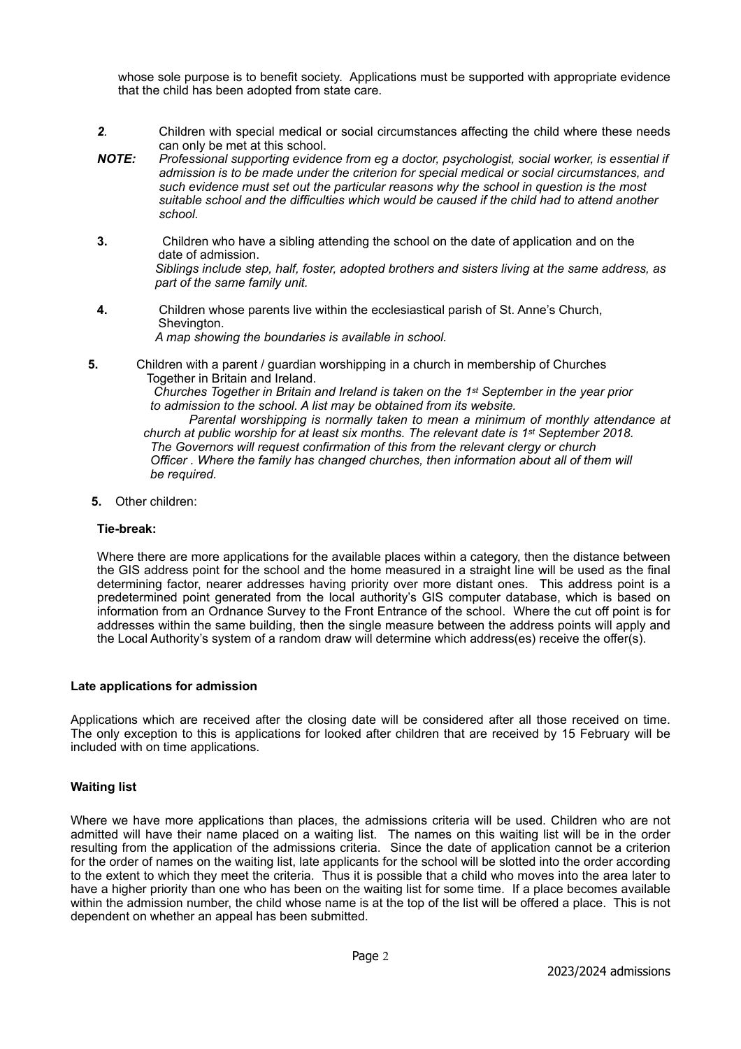whose sole purpose is to benefit society. Applications must be supported with appropriate evidence that the child has been adopted from state care.

- *2.* Children with special medical or social circumstances affecting the child where these needs can only be met at this school.
- *NOTE: Professional supporting evidence from eg a doctor, psychologist, social worker, is essential if admission is to be made under the criterion for special medical or social circumstances, and such evidence must set out the particular reasons why the school in question is the most suitable school and the difficulties which would be caused if the child had to attend another school.*
- **3.**Children who have a sibling attending the school on the date of application and on the date of admission. *Siblings include step, half, foster, adopted brothers and sisters living at the same address, as part of the same family unit.*
- **4.**Children whose parents live within the ecclesiastical parish of St. Anne's Church, Shevington. *A map showing the boundaries is available in school.*
- **5.**Children with a parent / guardian worshipping in a church in membership of Churches Together in Britain and Ireland.  *Churches Together in Britain and Ireland is taken on the 1st September in the year prior*

 *to admission to the school. A list may be obtained from its website. Parental worshipping is normally taken to mean a minimum of monthly attendance at church at public worship for at least six months. The relevant date is 1st September 2018. The Governors will request confirmation of this from the relevant clergy or church Officer . Where the family has changed churches, then information about all of them will be required.* 

 **5.** Other children:

## **Tie-break:**

Where there are more applications for the available places within a category, then the distance between the GIS address point for the school and the home measured in a straight line will be used as the final determining factor, nearer addresses having priority over more distant ones. This address point is a predetermined point generated from the local authority's GIS computer database, which is based on information from an Ordnance Survey to the Front Entrance of the school. Where the cut off point is for addresses within the same building, then the single measure between the address points will apply and the Local Authority's system of a random draw will determine which address(es) receive the offer(s).

#### **Late applications for admission**

Applications which are received after the closing date will be considered after all those received on time. The only exception to this is applications for looked after children that are received by 15 February will be included with on time applications.

## **Waiting list**

Where we have more applications than places, the admissions criteria will be used. Children who are not admitted will have their name placed on a waiting list. The names on this waiting list will be in the order resulting from the application of the admissions criteria. Since the date of application cannot be a criterion for the order of names on the waiting list, late applicants for the school will be slotted into the order according to the extent to which they meet the criteria. Thus it is possible that a child who moves into the area later to have a higher priority than one who has been on the waiting list for some time. If a place becomes available within the admission number, the child whose name is at the top of the list will be offered a place. This is not dependent on whether an appeal has been submitted.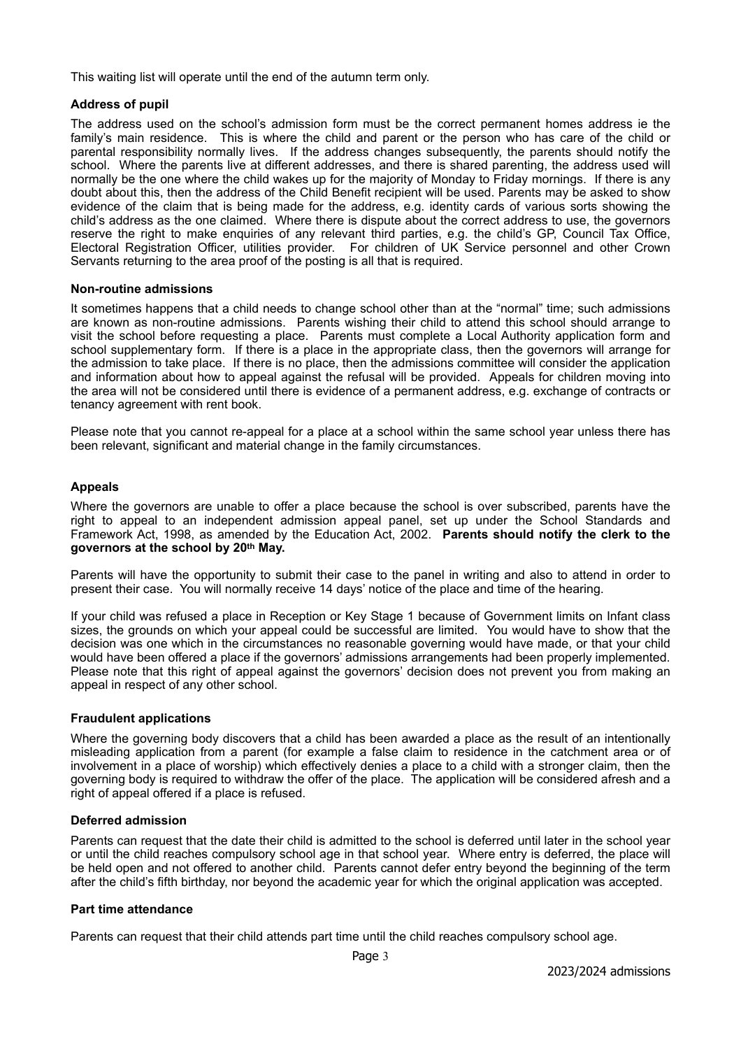This waiting list will operate until the end of the autumn term only.

## **Address of pupil**

The address used on the school's admission form must be the correct permanent homes address ie the family's main residence. This is where the child and parent or the person who has care of the child or parental responsibility normally lives. If the address changes subsequently, the parents should notify the school. Where the parents live at different addresses, and there is shared parenting, the address used will normally be the one where the child wakes up for the majority of Monday to Friday mornings. If there is any doubt about this, then the address of the Child Benefit recipient will be used. Parents may be asked to show evidence of the claim that is being made for the address, e.g. identity cards of various sorts showing the child's address as the one claimed. Where there is dispute about the correct address to use, the governors reserve the right to make enquiries of any relevant third parties, e.g. the child's GP, Council Tax Office, Electoral Registration Officer, utilities provider. For children of UK Service personnel and other Crown Servants returning to the area proof of the posting is all that is required.

#### **Non-routine admissions**

It sometimes happens that a child needs to change school other than at the "normal" time; such admissions are known as non-routine admissions. Parents wishing their child to attend this school should arrange to visit the school before requesting a place. Parents must complete a Local Authority application form and school supplementary form. If there is a place in the appropriate class, then the governors will arrange for the admission to take place. If there is no place, then the admissions committee will consider the application and information about how to appeal against the refusal will be provided. Appeals for children moving into the area will not be considered until there is evidence of a permanent address, e.g. exchange of contracts or tenancy agreement with rent book.

Please note that you cannot re-appeal for a place at a school within the same school year unless there has been relevant, significant and material change in the family circumstances.

## **Appeals**

Where the governors are unable to offer a place because the school is over subscribed, parents have the right to appeal to an independent admission appeal panel, set up under the School Standards and Framework Act, 1998, as amended by the Education Act, 2002. **Parents should notify the clerk to the governors at the school by 20th May.**

Parents will have the opportunity to submit their case to the panel in writing and also to attend in order to present their case. You will normally receive 14 days' notice of the place and time of the hearing.

If your child was refused a place in Reception or Key Stage 1 because of Government limits on Infant class sizes, the grounds on which your appeal could be successful are limited. You would have to show that the decision was one which in the circumstances no reasonable governing would have made, or that your child would have been offered a place if the governors' admissions arrangements had been properly implemented. Please note that this right of appeal against the governors' decision does not prevent you from making an appeal in respect of any other school.

#### **Fraudulent applications**

Where the governing body discovers that a child has been awarded a place as the result of an intentionally misleading application from a parent (for example a false claim to residence in the catchment area or of involvement in a place of worship) which effectively denies a place to a child with a stronger claim, then the governing body is required to withdraw the offer of the place. The application will be considered afresh and a right of appeal offered if a place is refused.

#### **Deferred admission**

Parents can request that the date their child is admitted to the school is deferred until later in the school year or until the child reaches compulsory school age in that school year. Where entry is deferred, the place will be held open and not offered to another child. Parents cannot defer entry beyond the beginning of the term after the child's fifth birthday, nor beyond the academic year for which the original application was accepted.

#### **Part time attendance**

Parents can request that their child attends part time until the child reaches compulsory school age.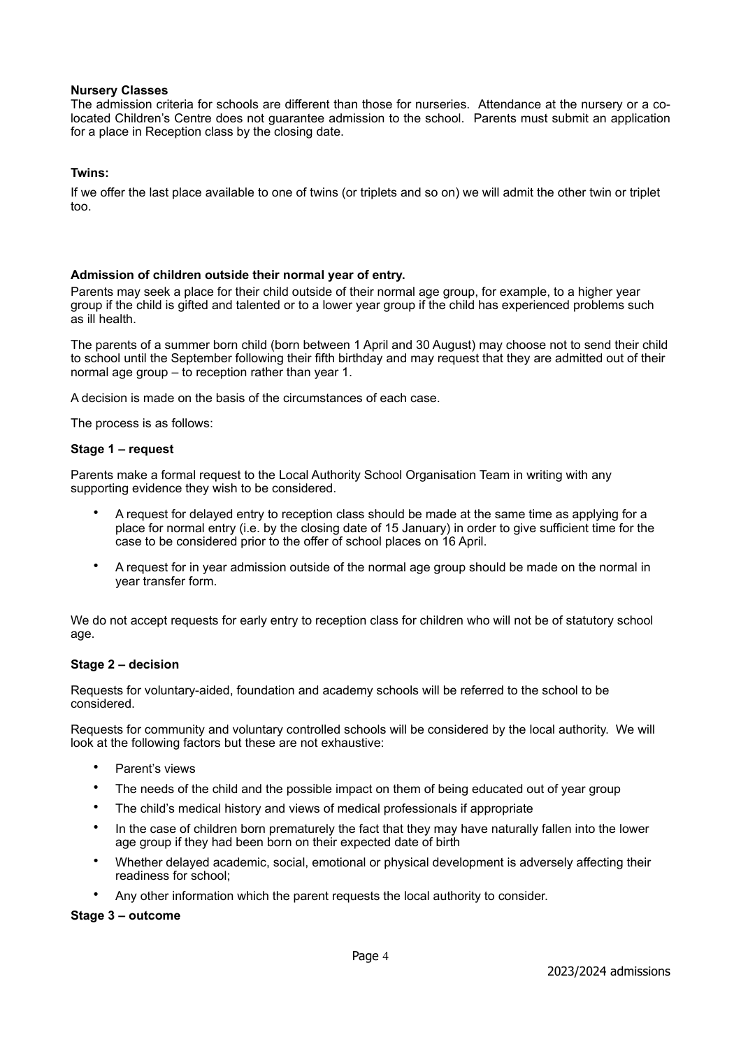## **Nursery Classes**

The admission criteria for schools are different than those for nurseries. Attendance at the nursery or a colocated Children's Centre does not guarantee admission to the school. Parents must submit an application for a place in Reception class by the closing date.

## **Twins:**

If we offer the last place available to one of twins (or triplets and so on) we will admit the other twin or triplet too.

## **Admission of children outside their normal year of entry.**

Parents may seek a place for their child outside of their normal age group, for example, to a higher year group if the child is gifted and talented or to a lower year group if the child has experienced problems such as ill health.

The parents of a summer born child (born between 1 April and 30 August) may choose not to send their child to school until the September following their fifth birthday and may request that they are admitted out of their normal age group – to reception rather than year 1.

A decision is made on the basis of the circumstances of each case.

The process is as follows:

#### **Stage 1 – request**

Parents make a formal request to the Local Authority School Organisation Team in writing with any supporting evidence they wish to be considered.

- A request for delayed entry to reception class should be made at the same time as applying for a place for normal entry (i.e. by the closing date of 15 January) in order to give sufficient time for the case to be considered prior to the offer of school places on 16 April.
- A request for in year admission outside of the normal age group should be made on the normal in year transfer form.

We do not accept requests for early entry to reception class for children who will not be of statutory school age.

#### **Stage 2 – decision**

Requests for voluntary-aided, foundation and academy schools will be referred to the school to be considered.

Requests for community and voluntary controlled schools will be considered by the local authority. We will look at the following factors but these are not exhaustive:

- Parent's views
- The needs of the child and the possible impact on them of being educated out of year group
- The child's medical history and views of medical professionals if appropriate
- In the case of children born prematurely the fact that they may have naturally fallen into the lower age group if they had been born on their expected date of birth
- Whether delayed academic, social, emotional or physical development is adversely affecting their readiness for school;
	- Any other information which the parent requests the local authority to consider.

#### **Stage 3 – outcome**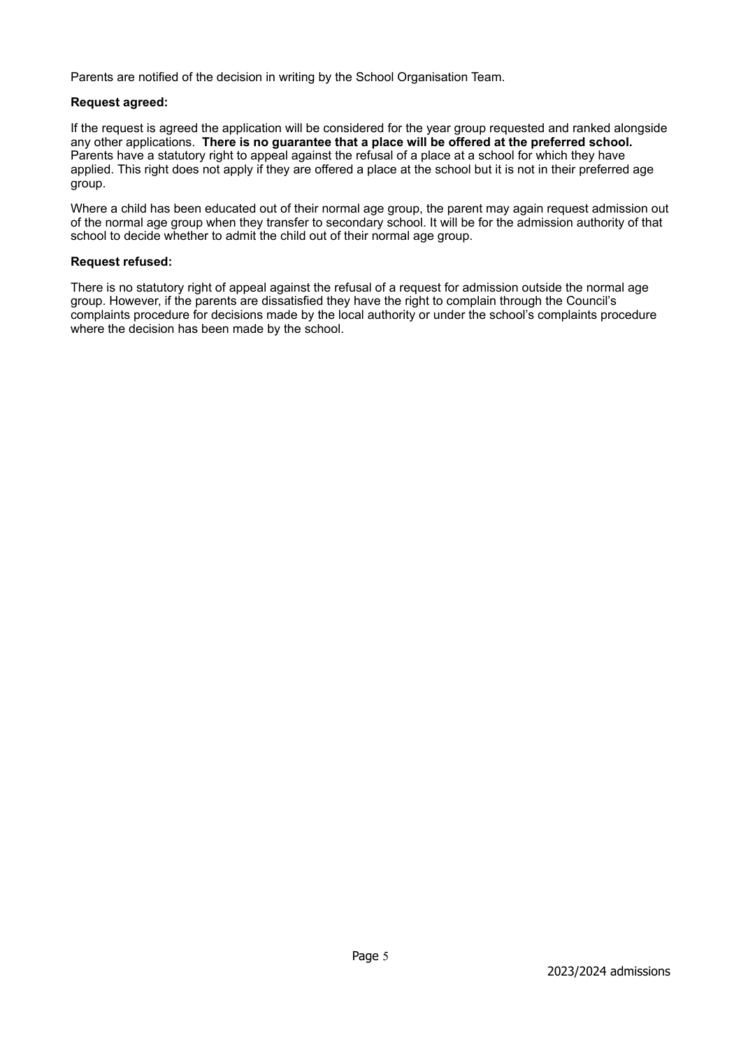Parents are notified of the decision in writing by the School Organisation Team.

## **Request agreed:**

If the request is agreed the application will be considered for the year group requested and ranked alongside any other applications. **There is no guarantee that a place will be offered at the preferred school.** Parents have a statutory right to appeal against the refusal of a place at a school for which they have applied. This right does not apply if they are offered a place at the school but it is not in their preferred age group.

Where a child has been educated out of their normal age group, the parent may again request admission out of the normal age group when they transfer to secondary school. It will be for the admission authority of that school to decide whether to admit the child out of their normal age group.

## **Request refused:**

There is no statutory right of appeal against the refusal of a request for admission outside the normal age group. However, if the parents are dissatisfied they have the right to complain through the Council's complaints procedure for decisions made by the local authority or under the school's complaints procedure where the decision has been made by the school.